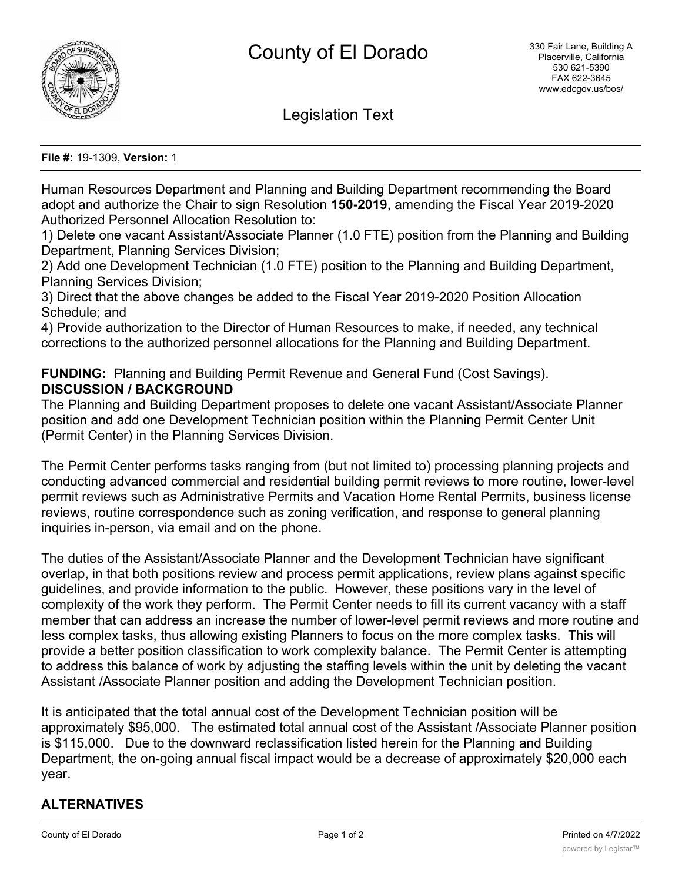

Legislation Text

**File #:** 19-1309, **Version:** 1

Human Resources Department and Planning and Building Department recommending the Board adopt and authorize the Chair to sign Resolution **150-2019**, amending the Fiscal Year 2019-2020 Authorized Personnel Allocation Resolution to:

1) Delete one vacant Assistant/Associate Planner (1.0 FTE) position from the Planning and Building Department, Planning Services Division;

2) Add one Development Technician (1.0 FTE) position to the Planning and Building Department, Planning Services Division;

3) Direct that the above changes be added to the Fiscal Year 2019-2020 Position Allocation Schedule; and

4) Provide authorization to the Director of Human Resources to make, if needed, any technical corrections to the authorized personnel allocations for the Planning and Building Department.

# **FUNDING:** Planning and Building Permit Revenue and General Fund (Cost Savings). **DISCUSSION / BACKGROUND**

The Planning and Building Department proposes to delete one vacant Assistant/Associate Planner position and add one Development Technician position within the Planning Permit Center Unit (Permit Center) in the Planning Services Division.

The Permit Center performs tasks ranging from (but not limited to) processing planning projects and conducting advanced commercial and residential building permit reviews to more routine, lower-level permit reviews such as Administrative Permits and Vacation Home Rental Permits, business license reviews, routine correspondence such as zoning verification, and response to general planning inquiries in-person, via email and on the phone.

The duties of the Assistant/Associate Planner and the Development Technician have significant overlap, in that both positions review and process permit applications, review plans against specific guidelines, and provide information to the public. However, these positions vary in the level of complexity of the work they perform. The Permit Center needs to fill its current vacancy with a staff member that can address an increase the number of lower-level permit reviews and more routine and less complex tasks, thus allowing existing Planners to focus on the more complex tasks. This will provide a better position classification to work complexity balance. The Permit Center is attempting to address this balance of work by adjusting the staffing levels within the unit by deleting the vacant Assistant /Associate Planner position and adding the Development Technician position.

It is anticipated that the total annual cost of the Development Technician position will be approximately \$95,000. The estimated total annual cost of the Assistant /Associate Planner position is \$115,000. Due to the downward reclassification listed herein for the Planning and Building Department, the on-going annual fiscal impact would be a decrease of approximately \$20,000 each year.

# **ALTERNATIVES**